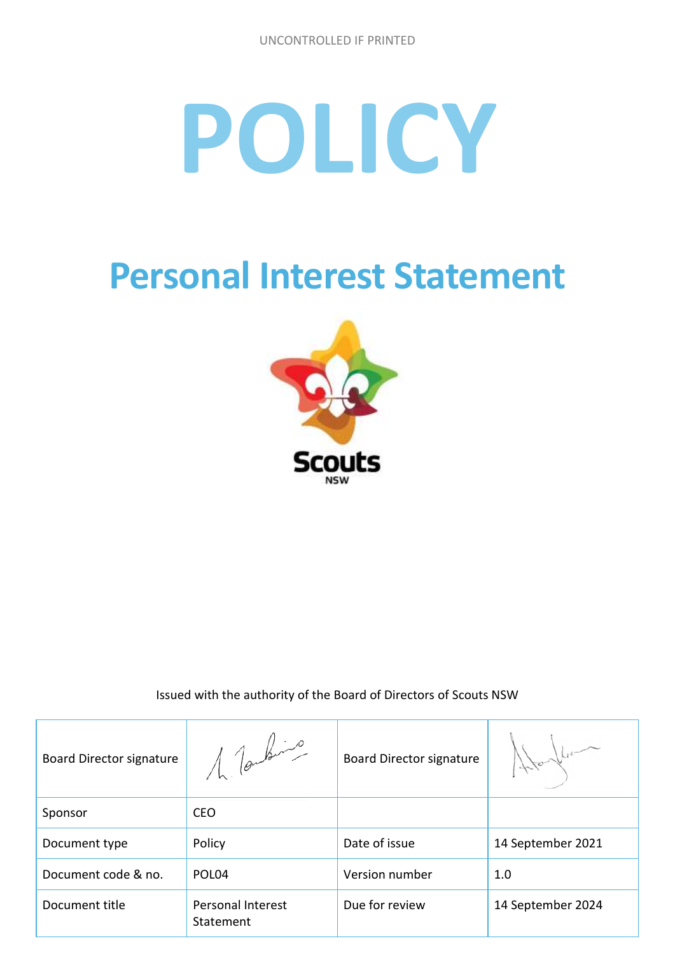# **POLICY**

# **Personal Interest Statement**



Issued with the authority of the Board of Directors of Scouts NSW

| <b>Board Director signature</b> | 1 Touting                             | <b>Board Director signature</b> |                   |
|---------------------------------|---------------------------------------|---------------------------------|-------------------|
| Sponsor                         | <b>CEO</b>                            |                                 |                   |
| Document type                   | Policy                                | Date of issue                   | 14 September 2021 |
| Document code & no.             | POL <sub>04</sub>                     | Version number                  | 1.0               |
| Document title                  | <b>Personal Interest</b><br>Statement | Due for review                  | 14 September 2024 |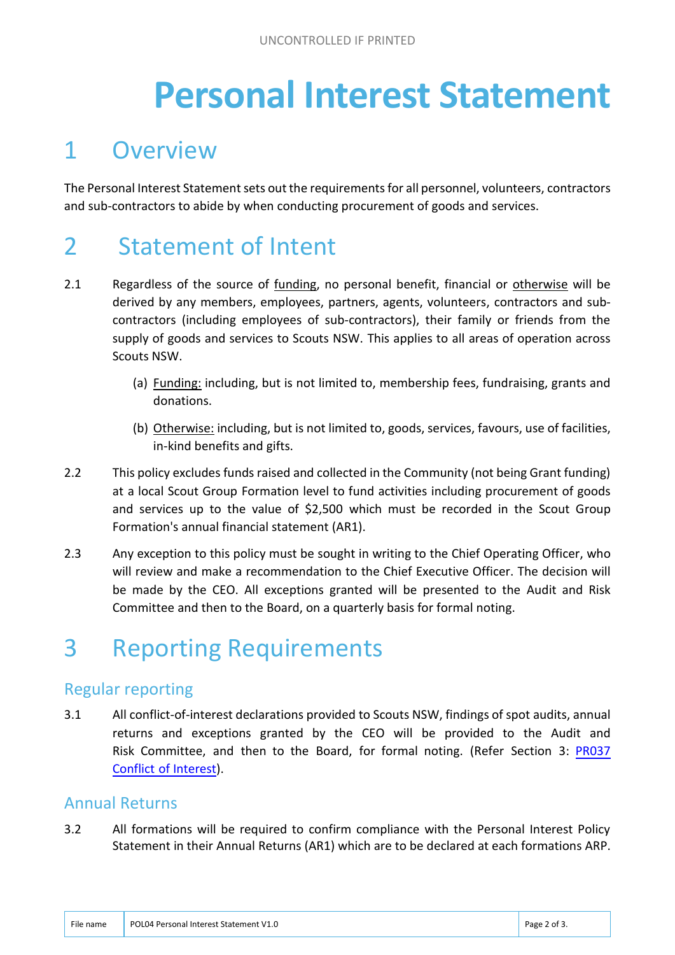# **Personal Interest Statement**

### 1 Overview

The Personal Interest Statement sets out the requirements for all personnel, volunteers, contractors and sub-contractors to abide by when conducting procurement of goods and services.

## 2 Statement of Intent

- 2.1 Regardless of the source of funding, no personal benefit, financial or otherwise will be derived by any members, employees, partners, agents, volunteers, contractors and subcontractors (including employees of sub-contractors), their family or friends from the supply of goods and services to Scouts NSW. This applies to all areas of operation across Scouts NSW.
	- (a) Funding: including, but is not limited to, membership fees, fundraising, grants and donations.
	- (b) Otherwise: including, but is not limited to, goods, services, favours, use of facilities, in-kind benefits and gifts.
- 2.2 This policy excludes funds raised and collected in the Community (not being Grant funding) at a local Scout Group Formation level to fund activities including procurement of goods and services up to the value of \$2,500 which must be recorded in the Scout Group Formation's annual financial statement (AR1).
- 2.3 Any exception to this policy must be sought in writing to the Chief Operating Officer, who will review and make a recommendation to the Chief Executive Officer. The decision will be made by the CEO. All exceptions granted will be presented to the Audit and Risk Committee and then to the Board, on a quarterly basis for formal noting.

# 3 Reporting Requirements

#### Regular reporting

3.1 All conflict-of-interest declarations provided to Scouts NSW, findings of spot audits, annual returns and exceptions granted by the CEO will be provided to the Audit and [Risk Committee, and then to the Board, for formal noting. \(Refer Section 3: PR037](https://www.nsw.scouts.com.au/members-services/policies-and-resources/policies/pro37-conflicts-of-interest-v2-0-final-signed/)  Conflict of Interest).

#### Annual Returns

3.2 All formations will be required to confirm compliance with the Personal Interest Policy Statement in their Annual Returns (AR1) which are to be declared at each formations ARP.